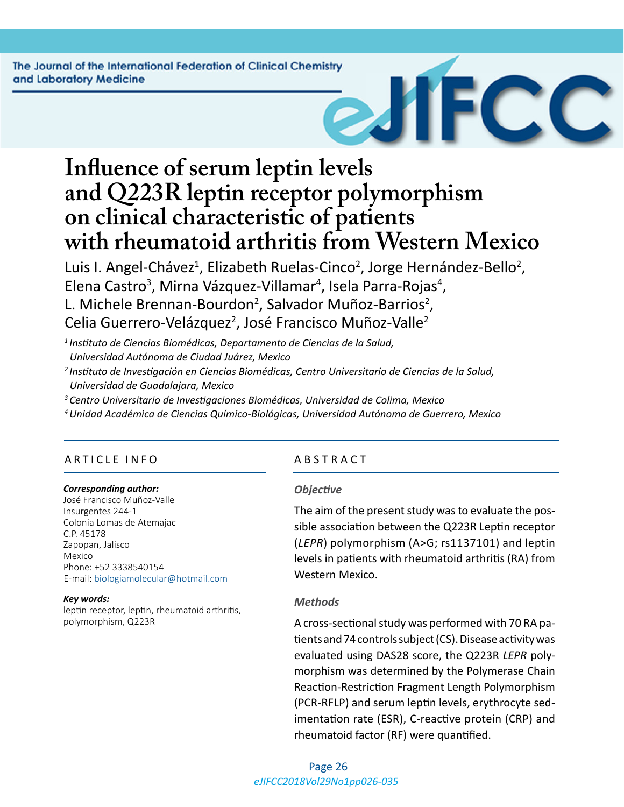The Journal of the International Federation of Clinical Chemistry and Laboratory Medicine



# **Influence of serum leptin levels and Q223R leptin receptor polymorphism on clinical characteristic of patients with rheumatoid arthritis from Western Mexico**

Luis I. Angel-Chávez<sup>1</sup>, Elizabeth Ruelas-Cinco<sup>2</sup>, Jorge Hernández-Bello<sup>2</sup>, Elena Castro<sup>3</sup>, Mirna Vázquez-Villamar<sup>4</sup>, Isela Parra-Rojas<sup>4</sup>, L. Michele Brennan-Bourdon<sup>2</sup>, Salvador Muñoz-Barrios<sup>2</sup>, Celia Guerrero-Velázquez<sup>2</sup>, José Francisco Muñoz-Valle<sup>2</sup>

*<sup>1</sup>Instituto de Ciencias Biomédicas, Departamento de Ciencias de la Salud, Universidad Autónoma de Ciudad Juárez, Mexico*

- *<sup>2</sup>Instituto de Investigación en Ciencias Biomédicas, Centro Universitario de Ciencias de la Salud, Universidad de Guadalajara, Mexico*
- *<sup>3</sup>Centro Universitario de Investigaciones Biomédicas, Universidad de Colima, Mexico*
- *<sup>4</sup>Unidad Académica de Ciencias Químico-Biológicas, Universidad Autónoma de Guerrero, Mexico*

# ARTICLE INFO ABSTRACT

#### *Corresponding author:*

José Francisco Muñoz-Valle Insurgentes 244-1 Colonia Lomas de Atemajac C.P. 45178 Zapopan, Jalisco Mexico Phone: +52 3338540154 E-mail: [biologiamolecular@hotmail.com](mailto:biologiamolecular@hotmail.com)

#### *Key words:*

leptin receptor, leptin, rheumatoid arthritis, polymorphism, Q223R

#### *Objective*

The aim of the present study was to evaluate the possible association between the Q223R Leptin receptor (*LEPR*) polymorphism (A>G; rs1137101) and leptin levels in patients with rheumatoid arthritis (RA) from Western Mexico.

#### *Methods*

A cross-sectional study was performed with 70 RA patients and 74 controls subject (CS). Disease activity was evaluated using DAS28 score, the Q223R *LEPR* polymorphism was determined by the Polymerase Chain Reaction-Restriction Fragment Length Polymorphism (PCR-RFLP) and serum leptin levels, erythrocyte sedimentation rate (ESR), C-reactive protein (CRP) and rheumatoid factor (RF) were quantified.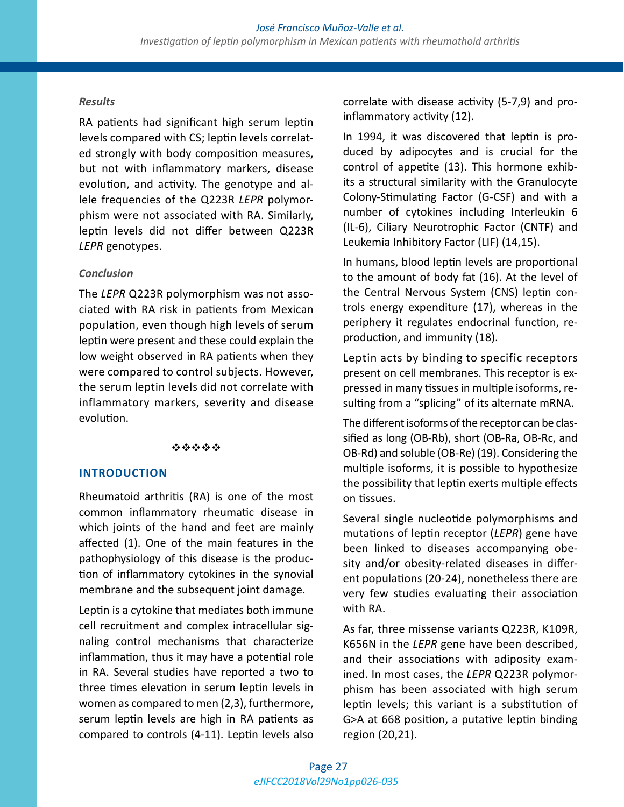### *Results*

RA patients had significant high serum leptin levels compared with CS; leptin levels correlated strongly with body composition measures, but not with inflammatory markers, disease evolution, and activity. The genotype and allele frequencies of the Q223R *LEPR* polymorphism were not associated with RA. Similarly, leptin levels did not differ between Q223R *LEPR* genotypes.

### *Conclusion*

The *LEPR* Q223R polymorphism was not associated with RA risk in patients from Mexican population, even though high levels of serum leptin were present and these could explain the low weight observed in RA patients when they were compared to control subjects. However, the serum leptin levels did not correlate with inflammatory markers, severity and disease evolution.

#### \*\*\*\*\*

# **INTRODUCTION**

Rheumatoid arthritis (RA) is one of the most common inflammatory rheumatic disease in which joints of the hand and feet are mainly affected (1). One of the main features in the pathophysiology of this disease is the production of inflammatory cytokines in the synovial membrane and the subsequent joint damage.

Leptin is a cytokine that mediates both immune cell recruitment and complex intracellular signaling control mechanisms that characterize inflammation, thus it may have a potential role in RA. Several studies have reported a two to three times elevation in serum leptin levels in women as compared to men (2,3), furthermore, serum leptin levels are high in RA patients as compared to controls (4-11). Leptin levels also correlate with disease activity (5-7,9) and proinflammatory activity (12).

In 1994, it was discovered that leptin is produced by adipocytes and is crucial for the control of appetite (13). This hormone exhibits a structural similarity with the Granulocyte Colony-Stimulating Factor (G-CSF) and with a number of cytokines including Interleukin 6 (IL-6), Ciliary Neurotrophic Factor (CNTF) and Leukemia Inhibitory Factor (LIF) (14,15).

In humans, blood leptin levels are proportional to the amount of body fat (16). At the level of the Central Nervous System (CNS) leptin controls energy expenditure (17), whereas in the periphery it regulates endocrinal function, reproduction, and immunity (18).

Leptin acts by binding to specific receptors present on cell membranes. This receptor is expressed in many tissues in multiple isoforms, resulting from a "splicing" of its alternate mRNA.

The different isoforms of the receptor can be classified as long (OB-Rb), short (OB-Ra, OB-Rc, and OB-Rd) and soluble (OB-Re) (19). Considering the multiple isoforms, it is possible to hypothesize the possibility that leptin exerts multiple effects on tissues.

Several single nucleotide polymorphisms and mutations of leptin receptor (*LEPR*) gene have been linked to diseases accompanying obesity and/or obesity-related diseases in different populations (20-24), nonetheless there are very few studies evaluating their association with RA.

As far, three missense variants Q223R, K109R, K656N in the *LEPR* gene have been described, and their associations with adiposity examined. In most cases, the *LEPR* Q223R polymorphism has been associated with high serum leptin levels; this variant is a substitution of G>A at 668 position, a putative leptin binding region (20,21).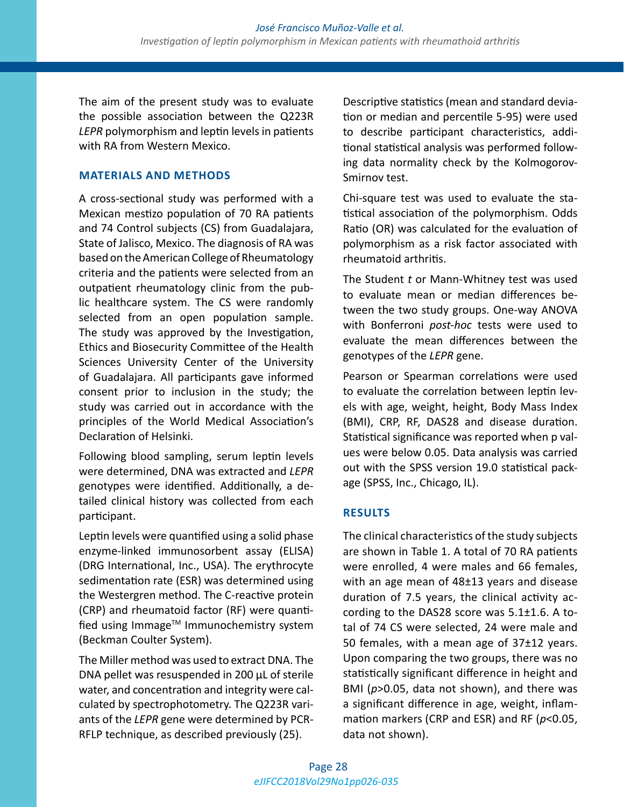The aim of the present study was to evaluate the possible association between the Q223R *LEPR* polymorphism and leptin levels in patients with RA from Western Mexico.

# **MATERIALS AND METHODS**

A cross-sectional study was performed with a Mexican mestizo population of 70 RA patients and 74 Control subjects (CS) from Guadalajara, State of Jalisco, Mexico. The diagnosis of RA was based on the American College of Rheumatology criteria and the patients were selected from an outpatient rheumatology clinic from the public healthcare system. The CS were randomly selected from an open population sample. The study was approved by the Investigation, Ethics and Biosecurity Committee of the Health Sciences University Center of the University of Guadalajara. All participants gave informed consent prior to inclusion in the study; the study was carried out in accordance with the principles of the World Medical Association's Declaration of Helsinki.

Following blood sampling, serum leptin levels were determined, DNA was extracted and *LEPR* genotypes were identified. Additionally, a detailed clinical history was collected from each participant.

Leptin levels were quantified using a solid phase enzyme-linked immunosorbent assay (ELISA) (DRG International, Inc., USA). The erythrocyte sedimentation rate (ESR) was determined using the Westergren method. The C-reactive protein (CRP) and rheumatoid factor (RF) were quantified using Immage™ Immunochemistry system (Beckman Coulter System).

The Miller method was used to extract DNA. The DNA pellet was resuspended in 200 µL of sterile water, and concentration and integrity were calculated by spectrophotometry. The Q223R variants of the *LEPR* gene were determined by PCR-RFLP technique, as described previously (25).

Descriptive statistics (mean and standard deviation or median and percentile 5-95) were used to describe participant characteristics, additional statistical analysis was performed following data normality check by the Kolmogorov-Smirnov test.

Chi-square test was used to evaluate the statistical association of the polymorphism. Odds Ratio (OR) was calculated for the evaluation of polymorphism as a risk factor associated with rheumatoid arthritis.

The Student *t* or Mann-Whitney test was used to evaluate mean or median differences between the two study groups. One-way ANOVA with Bonferroni *post-hoc* tests were used to evaluate the mean differences between the genotypes of the *LEPR* gene.

Pearson or Spearman correlations were used to evaluate the correlation between leptin levels with age, weight, height, Body Mass Index (BMI), CRP, RF, DAS28 and disease duration. Statistical significance was reported when p values were below 0.05. Data analysis was carried out with the SPSS version 19.0 statistical package (SPSS, Inc., Chicago, IL).

# **RESULTS**

The clinical characteristics of the study subjects are shown in Table 1. A total of 70 RA patients were enrolled, 4 were males and 66 females, with an age mean of 48±13 years and disease duration of 7.5 years, the clinical activity according to the DAS28 score was 5.1±1.6. A total of 74 CS were selected, 24 were male and 50 females, with a mean age of  $37±12$  years. Upon comparing the two groups, there was no statistically significant difference in height and BMI (*p*>0.05, data not shown), and there was a significant difference in age, weight, inflammation markers (CRP and ESR) and RF (*p*<0.05, data not shown).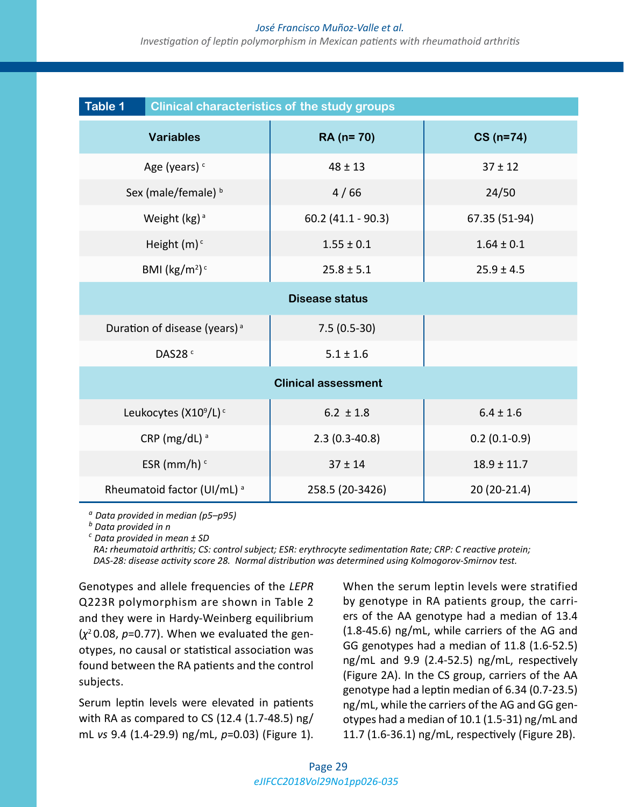#### *José Francisco Muñoz-Valle et al.*

*Investigation of leptin polymorphism in Mexican patients with rheumathoid arthritis*

| <b>Table 1</b><br><b>Clinical characteristics of the study groups</b> |                      |                 |  |  |  |  |
|-----------------------------------------------------------------------|----------------------|-----------------|--|--|--|--|
| <b>Variables</b>                                                      | RA (n= 70)           | $CS(n=74)$      |  |  |  |  |
| Age (years) <sup>c</sup>                                              | $48 \pm 13$          | $37 \pm 12$     |  |  |  |  |
| Sex (male/female) b                                                   | 4/66                 | 24/50           |  |  |  |  |
| Weight (kg) <sup>a</sup>                                              | $60.2$ (41.1 - 90.3) | 67.35 (51-94)   |  |  |  |  |
| Height $(m)^c$                                                        | $1.55 \pm 0.1$       | $1.64 \pm 0.1$  |  |  |  |  |
| BMI ( $\text{kg/m}^2$ ) <sup>c</sup>                                  | $25.8 \pm 5.1$       | $25.9 \pm 4.5$  |  |  |  |  |
| <b>Disease status</b>                                                 |                      |                 |  |  |  |  |
| Duration of disease (years) <sup>a</sup>                              | $7.5(0.5-30)$        |                 |  |  |  |  |
| DAS28 <sup>c</sup>                                                    | $5.1 \pm 1.6$        |                 |  |  |  |  |
| <b>Clinical assessment</b>                                            |                      |                 |  |  |  |  |
| Leukocytes (X10 <sup>9</sup> /L) <sup>c</sup>                         | $6.2 \pm 1.8$        | $6.4 \pm 1.6$   |  |  |  |  |
| CRP (mg/dL) <sup>a</sup>                                              | $2.3(0.3-40.8)$      | $0.2(0.1-0.9)$  |  |  |  |  |
| ESR (mm/h) $\circ$                                                    | $37 \pm 14$          | $18.9 \pm 11.7$ |  |  |  |  |
| Rheumatoid factor (UI/mL) <sup>a</sup>                                | 258.5 (20-3426)      | 20 (20-21.4)    |  |  |  |  |

*<sup>a</sup> Data provided in median (p5–p95)*

*b Data provided in n* 

*<sup>c</sup> Data provided in mean ± SD*

 *RA: rheumatoid arthritis; CS: control subject; ESR: erythrocyte sedimentation Rate; CRP: C reactive protein; DAS-28: disease activity score 28. Normal distribution was determined using Kolmogorov-Smirnov test.*

Genotypes and allele frequencies of the *LEPR* Q223R polymorphism are shown in Table 2 and they were in Hardy-Weinberg equilibrium  $(x^2 0.08, p=0.77)$ . When we evaluated the genotypes, no causal or statistical association was found between the RA patients and the control subjects.

Serum leptin levels were elevated in patients with RA as compared to CS (12.4 (1.7-48.5) ng/ mL *vs* 9.4 (1.4-29.9) ng/mL, *p*=0.03) (Figure 1).

When the serum leptin levels were stratified by genotype in RA patients group, the carriers of the AA genotype had a median of 13.4 (1.8-45.6) ng/mL, while carriers of the AG and GG genotypes had a median of 11.8 (1.6-52.5) ng/mL and 9.9 (2.4-52.5) ng/mL, respectively (Figure 2A). In the CS group, carriers of the AA genotype had a leptin median of 6.34 (0.7-23.5) ng/mL, while the carriers of the AG and GG genotypes had a median of 10.1 (1.5-31) ng/mL and 11.7 (1.6-36.1) ng/mL, respectively (Figure 2B).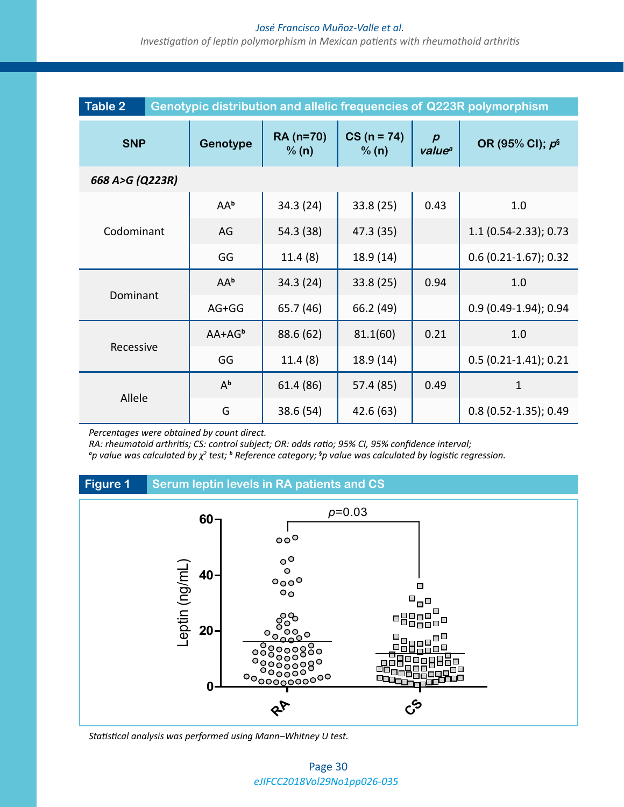#### *José Francisco Muñoz-Valle et al.*

*Investigation of leptin polymorphism in Mexican patients with rheumathoid arthritis*

| <b>Table 2</b><br>Genotypic distribution and allelic frequencies of Q223R polymorphism |           |                    |                        |                                        |                         |  |  |
|----------------------------------------------------------------------------------------|-----------|--------------------|------------------------|----------------------------------------|-------------------------|--|--|
| <b>SNP</b>                                                                             | Genotype  | RA (n=70)<br>% (n) | $CS (n = 74)$<br>% (n) | $\boldsymbol{p}$<br>value <sup>a</sup> | OR (95% CI); $p^s$      |  |  |
| 668 A>G (Q223R)                                                                        |           |                    |                        |                                        |                         |  |  |
|                                                                                        | AAb       | 34.3 (24)          | 33.8(25)               | 0.43                                   | 1.0                     |  |  |
| Codominant                                                                             | AG        | 54.3 (38)          | 47.3 (35)              |                                        | $1.1$ (0.54-2.33); 0.73 |  |  |
|                                                                                        | GG        | 11.4(8)            | 18.9(14)               |                                        | $0.6$ (0.21-1.67); 0.32 |  |  |
|                                                                                        | AAb       | 34.3 (24)          | 33.8(25)               | 0.94                                   | 1.0                     |  |  |
| Dominant                                                                               | $AG+GG$   | 65.7 (46)          | 66.2 (49)              |                                        | $0.9(0.49-1.94); 0.94$  |  |  |
| Recessive                                                                              | $AA+AG^b$ | 88.6 (62)          | 81.1(60)               | 0.21                                   | 1.0                     |  |  |
|                                                                                        | GG        | 11.4(8)            | 18.9 (14)              |                                        | $0.5(0.21-1.41); 0.21$  |  |  |
| Allele                                                                                 | $A^b$     | 61.4 (86)          | 57.4 (85)              | 0.49                                   | $\mathbf{1}$            |  |  |
|                                                                                        | G         | 38.6 (54)          | 42.6 (63)              |                                        | $0.8$ (0.52-1.35); 0.49 |  |  |

*Percentages were obtained by count direct.*

*RA: rheumatoid arthritis; CS: control subject; OR: odds ratio; 95% CI, 95% confidence interval;* 

*a p value was calculated by χ<sup>2</sup> test; <sup>b</sup> Reference category;* **§** *p value was calculated by logistic regression.*

# **Figure 1 Serum leptin levels in RA patients and CS**



*Statistical analysis was performed using Mann–Whitney U test.*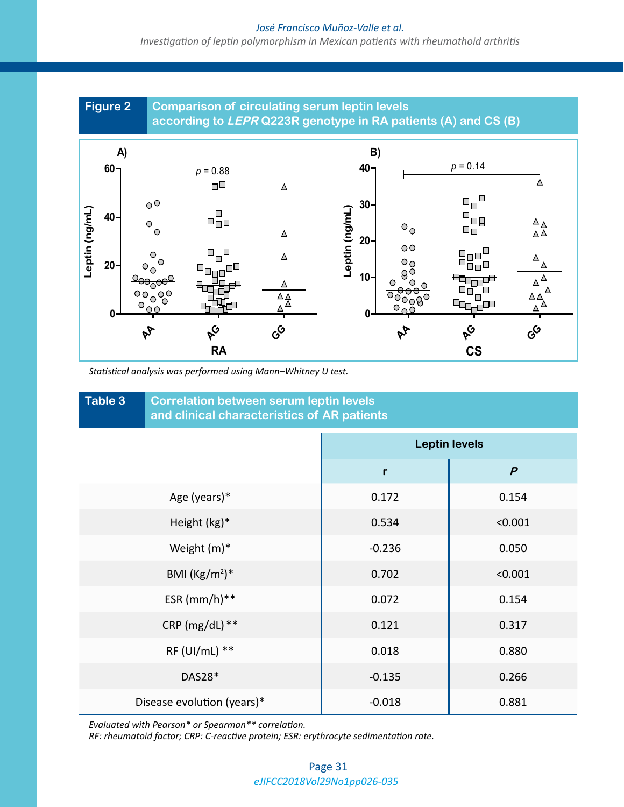#### *José Francisco Muñoz-Valle et al.*

*Investigation of leptin polymorphism in Mexican patients with rheumathoid arthritis*



*Statistical analysis was performed using Mann–Whitney U test.*

| Table 3<br><b>Correlation between serum leptin levels</b><br>and clinical characteristics of AR patients |                      |                  |  |  |  |  |
|----------------------------------------------------------------------------------------------------------|----------------------|------------------|--|--|--|--|
|                                                                                                          | <b>Leptin levels</b> |                  |  |  |  |  |
|                                                                                                          | $\mathsf{r}$         | $\boldsymbol{P}$ |  |  |  |  |
| Age (years)*                                                                                             | 0.172                | 0.154            |  |  |  |  |
| Height (kg)*                                                                                             | 0.534                | < 0.001          |  |  |  |  |
| Weight (m)*                                                                                              | $-0.236$             | 0.050            |  |  |  |  |
| BMI $(Kg/m2)*$                                                                                           | 0.702                | < 0.001          |  |  |  |  |
| ESR $(mm/h)**$                                                                                           | 0.072                | 0.154            |  |  |  |  |
| CRP ( $mg/dL$ ) **                                                                                       | 0.121                | 0.317            |  |  |  |  |
| RF (UI/mL) **                                                                                            | 0.018                | 0.880            |  |  |  |  |
| DAS28*                                                                                                   | $-0.135$             | 0.266            |  |  |  |  |
| Disease evolution (years)*                                                                               | $-0.018$             | 0.881            |  |  |  |  |

*Evaluated with Pearson\* or Spearman\*\* correlation.*

*RF: rheumatoid factor; CRP: C-reactive protein; ESR: erythrocyte sedimentation rate.*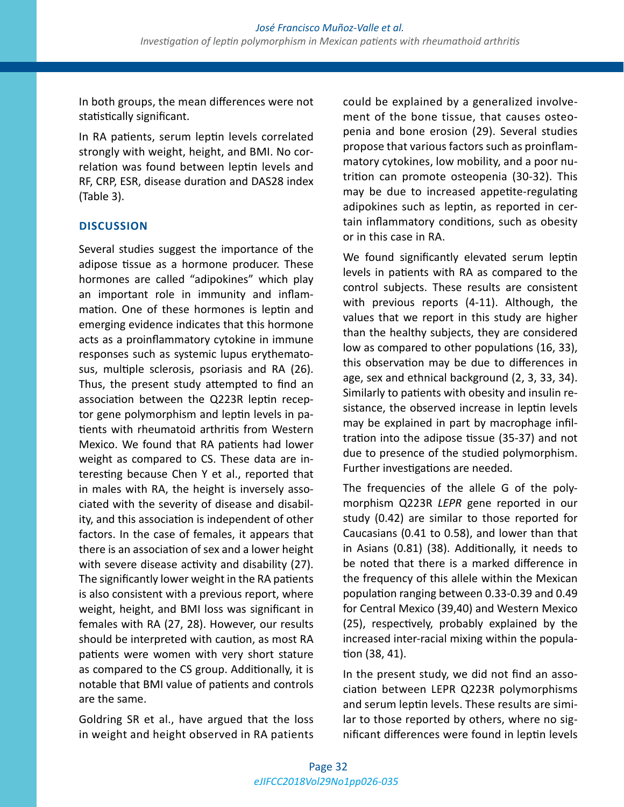In both groups, the mean differences were not statistically significant.

In RA patients, serum leptin levels correlated strongly with weight, height, and BMI. No correlation was found between leptin levels and RF, CRP, ESR, disease duration and DAS28 index (Table 3).

# **DISCUSSION**

Several studies suggest the importance of the adipose tissue as a hormone producer. These hormones are called "adipokines" which play an important role in immunity and inflammation. One of these hormones is leptin and emerging evidence indicates that this hormone acts as a proinflammatory cytokine in immune responses such as systemic lupus erythematosus, multiple sclerosis, psoriasis and RA (26). Thus, the present study attempted to find an association between the Q223R leptin receptor gene polymorphism and leptin levels in patients with rheumatoid arthritis from Western Mexico. We found that RA patients had lower weight as compared to CS. These data are interesting because Chen Y et al., reported that in males with RA, the height is inversely associated with the severity of disease and disability, and this association is independent of other factors. In the case of females, it appears that there is an association of sex and a lower height with severe disease activity and disability (27). The significantly lower weight in the RA patients is also consistent with a previous report, where weight, height, and BMI loss was significant in females with RA (27, 28). However, our results should be interpreted with caution, as most RA patients were women with very short stature as compared to the CS group. Additionally, it is notable that BMI value of patients and controls are the same.

[Goldring SR](https://www.ncbi.nlm.nih.gov/pubmed/?term=Goldring%20SR%5BAuthor%5D&cauthor=true&cauthor_uid=10803748) et al., have argued that the loss in weight and height observed in RA patients could be explained by a generalized involvement of the bone tissue, that causes osteopenia and bone erosion (29). Several studies propose that various factors such as proinflammatory cytokines, low mobility, and a poor nutrition can promote osteopenia (30-32). This may be due to increased appetite-regulating adipokines such as leptin, as reported in certain inflammatory conditions, such as obesity or in this case in RA.

We found significantly elevated serum leptin levels in patients with RA as compared to the control subjects. These results are consistent with previous reports (4-11). Although, the values that we report in this study are higher than the healthy subjects, they are considered low as compared to other populations (16, 33), this observation may be due to differences in age, sex and ethnical background (2, 3, 33, 34). Similarly to patients with obesity and insulin resistance, the observed increase in leptin levels may be explained in part by macrophage infiltration into the adipose tissue (35-37) and not due to presence of the studied polymorphism. Further investigations are needed.

The frequencies of the allele G of the polymorphism Q223R *LEPR* gene reported in our study (0.42) are similar to those reported for Caucasians (0.41 to 0.58), and lower than that in Asians (0.81) (38). Additionally, it needs to be noted that there is a marked difference in the frequency of this allele within the Mexican population ranging between 0.33-0.39 and 0.49 for Central Mexico (39,40) and Western Mexico (25), respectively, probably explained by the increased inter-racial mixing within the population (38, 41).

In the present study, we did not find an association between LEPR Q223R polymorphisms and serum leptin levels. These results are similar to those reported by others, where no significant differences were found in leptin levels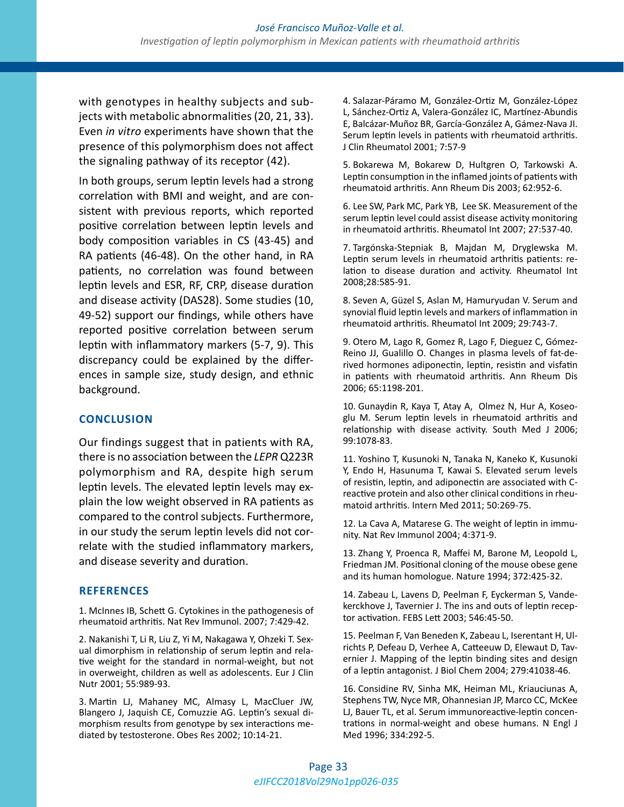with genotypes in healthy subjects and subjects with metabolic abnormalities (20, 21, 33). Even *in vitro* experiments have shown that the presence of this polymorphism does not affect the signaling pathway of its receptor (42).

In both groups, serum leptin levels had a strong correlation with BMI and weight, and are consistent with previous reports, which reported positive correlation between leptin levels and body composition variables in CS (43-45) and RA patients (46-48). On the other hand, in RA patients, no correlation was found between leptin levels and ESR, RF, CRP, disease duration and disease activity (DAS28). Some studies (10, 49-52) support our findings, while others have reported positive correlation between serum leptin with inflammatory markers (5-7, 9). This discrepancy could be explained by the differences in sample size, study design, and ethnic background.

# **CONCLUSION**

Our findings suggest that in patients with RA, there is no association between the *LEPR* Q223R polymorphism and RA, despite high serum leptin levels. The elevated leptin levels may explain the low weight observed in RA patients as compared to the control subjects. Furthermore, in our study the serum leptin levels did not correlate with the studied inflammatory markers, and disease severity and duration.

# **REFERENCES**

1. McInnes IB, Schett G. Cytokines in the pathogenesis of rheumatoid arthritis. Nat Rev Immunol. 2007; 7:429-42.

2. Nakanishi T, Li R, Liu Z, Yi M, Nakagawa Y, Ohzeki T. Sexual dimorphism in relationship of serum leptin and relative weight for the standard in normal-weight, but not in overweight, children as well as adolescents. Eur J Clin Nutr 2001; 55:989-93.

3. Martin LJ, Mahaney MC, Almasy L, MacCluer JW, Blangero J, Jaquish CE, Comuzzie AG. Leptin's sexual dimorphism results from genotype by sex interactions mediated by testosterone. Obes Res 2002; 10:14-21.

4. Salazar-Páramo M, González-Ortiz M, González-López L, Sánchez-Ortiz A, Valera-González IC, Martínez-Abundis E, Balcázar-Muñoz BR, García-González A, Gámez-Nava JI. Serum leptin levels in patients with rheumatoid arthritis. J Clin Rheumatol 2001; 7:57-9

5. Bokarewa M, Bokarew D, Hultgren O, Tarkowski A. Leptin consumption in the inflamed joints of patients with rheumatoid arthritis. Ann Rheum Dis 2003; 62:952-6.

6. Lee SW, Park MC, Park YB, Lee SK. Measurement of the serum leptin level could assist disease activity monitoring in rheumatoid arthritis. Rheumatol Int 2007; 27:537-40.

7. Targónska-Stepniak B, Majdan M, Dryglewska M. Leptin serum levels in rheumatoid arthritis patients: relation to disease duration and activity. Rheumatol Int 2008;28:585-91.

8. Seven A, Güzel S, Aslan M, Hamuryudan V. Serum and synovial fluid leptin levels and markers of inflammation in rheumatoid arthritis. Rheumatol Int 2009; 29:743-7.

9. Otero M, Lago R, Gomez R, Lago F, Dieguez C, Gómez-Reino JJ, Gualillo O. Changes in plasma levels of fat-derived hormones adiponectin, leptin, resistin and visfatin in patients with rheumatoid arthritis. Ann Rheum Dis 2006; 65:1198-201.

10. Gunaydin R, Kaya T, Atay A, Olmez N, Hur A, Koseoglu M. Serum leptin levels in rheumatoid arthritis and relationship with disease activity. South Med J 2006; 99:1078-83.

11. Yoshino T, Kusunoki N, Tanaka N, Kaneko K, Kusunoki Y, Endo H, Hasunuma T, Kawai S. Elevated serum levels of resistin, leptin, and adiponectin are associated with Creactive protein and also other clinical conditions in rheumatoid arthritis. Intern Med 2011; 50:269-75.

12. La Cava A, Matarese G. The weight of leptin in immunity. Nat Rev Immunol 2004; 4:371-9.

13. Zhang Y, Proenca R, Maffei M, Barone M, Leopold L, Friedman JM. Positional cloning of the mouse obese gene and its human homologue. Nature 1994; 372:425-32.

14. Zabeau L, Lavens D, Peelman F, Eyckerman S, Vandekerckhove J, Tavernier J. The ins and outs of leptin receptor activation. FEBS Lett 2003; 546:45-50.

15. Peelman F, Van Beneden K, Zabeau L, Iserentant H, Ulrichts P, Defeau D, Verhee A, Catteeuw D, Elewaut D, Tavernier J. Mapping of the leptin binding sites and design of a leptin antagonist. J Biol Chem 2004; 279:41038-46.

16. Considine RV, Sinha MK, Heiman ML, Kriauciunas A, Stephens TW, Nyce MR, Ohannesian JP, Marco CC, McKee LJ, Bauer TL, et al. Serum immunoreactive-leptin concentrations in normal-weight and obese humans. N Engl J Med 1996; 334:292-5.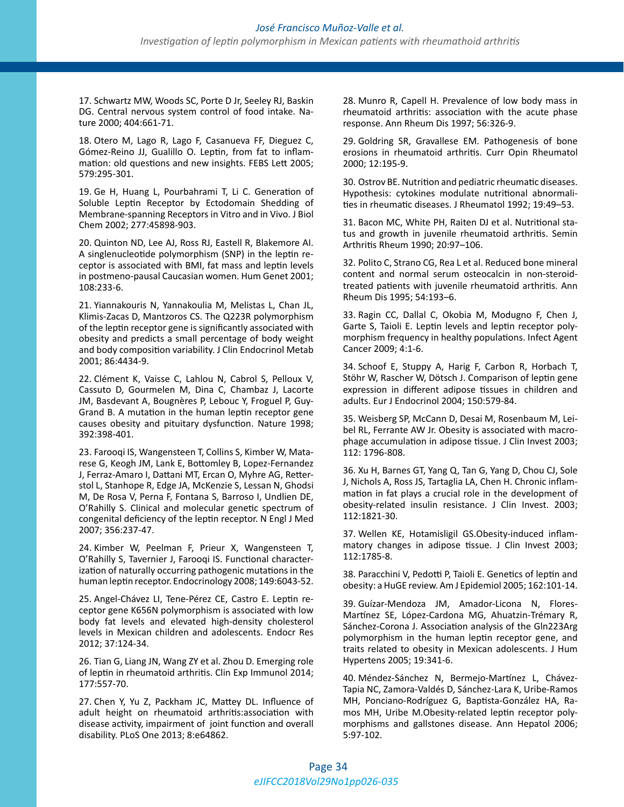17. Schwartz MW, Woods SC, Porte D Jr, Seeley RJ, Baskin DG. Central nervous system control of food intake. Nature 2000; 404:661-71.

18. Otero M, Lago R, Lago F, Casanueva FF, Dieguez C, Gómez-Reino JJ, Gualillo O. Leptin, from fat to inflammation: old questions and new insights. FEBS Lett 2005; 579:295-301.

19. Ge H, Huang L, Pourbahrami T, Li C. Generation of Soluble Leptin Receptor by Ectodomain Shedding of Membrane-spanning Receptors in Vitro and in Vivo. J Biol Chem 2002; 277:45898-903.

20. Quinton ND, Lee AJ, Ross RJ, Eastell R, Blakemore AI. A singlenucleotide polymorphism (SNP) in the leptin receptor is associated with BMI, fat mass and leptin levels in postmeno-pausal Caucasian women. Hum Genet 2001; 108:233-6.

21. Yiannakouris N, Yannakoulia M, Melistas L, Chan JL, Klimis-Zacas D, Mantzoros CS. The Q223R polymorphism of the leptin receptor gene is significantly associated with obesity and predicts a small percentage of body weight and body composition variability. J Clin Endocrinol Metab 2001; 86:4434-9.

22. Clément K, Vaisse C, Lahlou N, Cabrol S, Pelloux V, Cassuto D, Gourmelen M, Dina C, Chambaz J, Lacorte JM, Basdevant A, Bougnères P, Lebouc Y, Froguel P, Guy-Grand B. A mutation in the human leptin receptor gene causes obesity and pituitary dysfunction. Nature 1998; 392:398-401.

23. Farooqi IS, Wangensteen T, Collins S, Kimber W, Matarese G, Keogh JM, Lank E, Bottomley B, Lopez-Fernandez J, Ferraz-Amaro I, Dattani MT, Ercan O, Myhre AG, Retterstol L, Stanhope R, Edge JA, McKenzie S, Lessan N, Ghodsi M, De Rosa V, Perna F, Fontana S, Barroso I, Undlien DE, O'Rahilly S. Clinical and molecular genetic spectrum of congenital deficiency of the leptin receptor. N Engl J Med 2007; 356:237-47.

24. Kimber W, Peelman F, Prieur X, Wangensteen T, O'Rahilly S, Tavernier J, Farooqi IS. Functional characterization of naturally occurring pathogenic mutations in the human leptin receptor. Endocrinology 2008; 149:6043-52.

25. Angel-Chávez LI, Tene-Pérez CE, Castro E. Leptin receptor gene K656N polymorphism is associated with low body fat levels and elevated high-density cholesterol levels in Mexican children and adolescents. Endocr Res 2012; 37:124-34.

26. Tian G, Liang JN, Wang ZY et al. Zhou D. Emerging role of leptin in rheumatoid arthritis. Clin Exp Immunol 2014; 177:557-70.

27. Chen Y, Yu Z, Packham JC, Mattey DL. Influence of adult height on rheumatoid arthritis:association with disease activity, impairment of joint function and overall disability. PLoS One 2013; 8:e64862.

28. Munro R, Capell H. Prevalence of low body mass in rheumatoid arthritis: association with the acute phase response. Ann Rheum Dis 1997; 56:326-9.

29. Goldring SR, Gravallese EM. Pathogenesis of bone erosions in rheumatoid arthritis. Curr Opin Rheumatol 2000; 12:195-9.

30. Ostrov BE. Nutrition and pediatric rheumatic diseases. Hypothesis: cytokines modulate nutritional abnormalities in rheumatic diseases. J Rheumatol 1992; 19:49–53.

31. Bacon MC, White PH, Raiten DJ et al. Nutritional status and growth in juvenile rheumatoid arthritis. Semin Arthritis Rheum 1990; 20:97–106.

32. Polito C, Strano CG, Rea L et al. Reduced bone mineral content and normal serum osteocalcin in non-steroidtreated patients with juvenile rheumatoid arthritis. Ann Rheum Dis 1995; 54:193–6.

33. Ragin CC, Dallal C, Okobia M, Modugno F, Chen J, Garte S, Taioli E. Leptin levels and leptin receptor polymorphism frequency in healthy populations. Infect Agent Cancer 2009; 4:1-6.

34. Schoof E, Stuppy A, Harig F, Carbon R, Horbach T, Stöhr W, Rascher W, Dötsch J. Comparison of leptin gene expression in different adipose tissues in children and adults. Eur J Endocrinol 2004; 150:579-84.

35. Weisberg SP, McCann D, Desai M, Rosenbaum M, Leibel RL, Ferrante AW Jr. Obesity is associated with macrophage accumulation in adipose tissue. J Clin Invest 2003; 112: 1796-808.

36. Xu H, Barnes GT, Yang Q, Tan G, Yang D, Chou CJ, Sole J, Nichols A, Ross JS, Tartaglia LA, Chen H. Chronic inflammation in fat plays a crucial role in the development of obesity-related insulin resistance. J Clin Invest. 2003; 112:1821-30.

37. Wellen KE, Hotamisligil GS.Obesity-induced inflammatory changes in adipose tissue. J Clin Invest 2003; 112:1785-8.

38. Paracchini V, Pedotti P, Taioli E. Genetics of leptin and obesity: a HuGE review. Am J Epidemiol 2005; 162:101-14.

39. Guízar-Mendoza JM, Amador-Licona N, Flores-Martínez SE, López-Cardona MG, Ahuatzin-Trémary R, Sánchez-Corona J. Association analysis of the Gln223Arg polymorphism in the human leptin receptor gene, and traits related to obesity in Mexican adolescents. J Hum Hypertens 2005; 19:341-6.

40. Méndez-Sánchez N, Bermejo-Martínez L, Chávez-Tapia NC, Zamora-Valdés D, Sánchez-Lara K, Uribe-Ramos MH, Ponciano-Rodríguez G, Baptista-González HA, Ramos MH, Uribe M.Obesity-related leptin receptor polymorphisms and gallstones disease. Ann Hepatol 2006; 5:97-102.